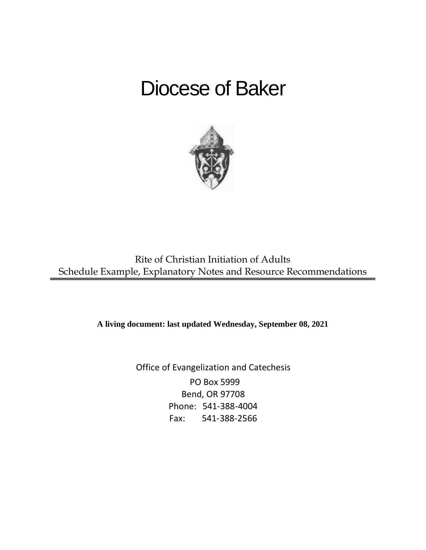# Diocese of Baker



Rite of Christian Initiation of Adults Schedule Example, Explanatory Notes and Resource Recommendations

**A living document: last updated Wednesday, September 08, 2021**

Office of Evangelization and Catechesis PO Box 5999 Bend, OR 97708 Phone: 541-388-4004 Fax: 541-388-2566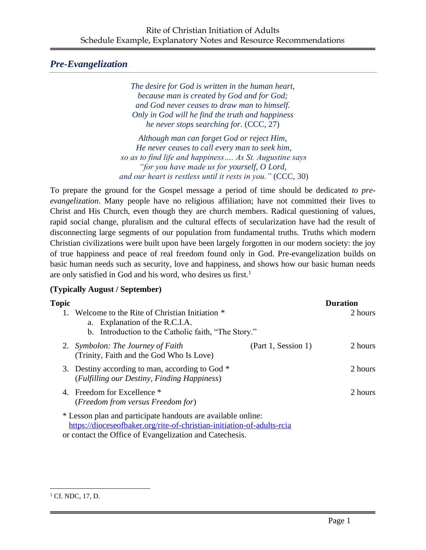# *Pre-Evangelization*

*The desire for God is written in the human heart, because man is created by God and for God; and God never ceases to draw man to himself. Only in God will he find the truth and happiness he never stops searching for.* (CCC, 27)

*Although man can forget God or reject Him, He never ceases to call every man to seek him, so as to find life and happiness…. As St. Augustine says "for you have made us for yourself, O Lord, and our heart is restless until it rests in you."* (CCC, 30)

To prepare the ground for the Gospel message a period of time should be dedicated *to preevangelization*. Many people have no religious affiliation; have not committed their lives to Christ and His Church, even though they are church members. Radical questioning of values, rapid social change, pluralism and the cultural effects of secularization have had the result of disconnecting large segments of our population from fundamental truths. Truths which modern Christian civilizations were built upon have been largely forgotten in our modern society: the joy of true happiness and peace of real freedom found only in God. Pre-evangelization builds on basic human needs such as security, love and happiness, and shows how our basic human needs are only satisfied in God and his word, who desires us first.<sup>1</sup>

### **(Typically August / September)**

| Topic |                                                                                                                                                                                                   |                     | <b>Duration</b> |
|-------|---------------------------------------------------------------------------------------------------------------------------------------------------------------------------------------------------|---------------------|-----------------|
|       | Welcome to the Rite of Christian Initiation *<br>a. Explanation of the R.C.I.A.<br>b. Introduction to the Catholic faith, "The Story."                                                            |                     | 2 hours         |
|       | 2. Symbolon: The Journey of Faith<br>(Trinity, Faith and the God Who Is Love)                                                                                                                     | (Part 1, Session 1) | 2 hours         |
|       | 3. Destiny according to man, according to God *<br>(Fulfilling our Destiny, Finding Happiness)                                                                                                    |                     | 2 hours         |
|       | 4. Freedom for Excellence *<br>(Freedom from versus Freedom for)                                                                                                                                  |                     | 2 hours         |
|       | * Lesson plan and participate handouts are available online:<br>https://dioceseofbaker.org/rite-of-christian-initiation-of-adults-rcia<br>or contact the Office of Evangelization and Catechesis. |                     |                 |

 $1^1$  Cf. NDC, 17, D.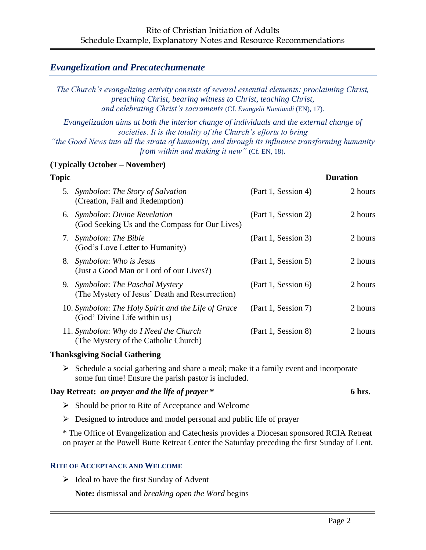### *Evangelization and Precatechumenate*

*The Church's evangelizing activity consists of several essential elements: proclaiming Christ, preaching Christ, bearing witness to Christ, teaching Christ, and celebrating Christ's sacraments* (Cf. *Evangelii Nuntiandi* (EN), 17).

*Evangelization aims at both the interior change of individuals and the external change of societies. It is the totality of the Church's efforts to bring "the Good News into all the strata of humanity, and through its influence transforming humanity from within and making it new"* (Cf. EN, 18).

#### **(Typically October – November)**

| Topic |                                                                                     |                     | <b>Duration</b> |
|-------|-------------------------------------------------------------------------------------|---------------------|-----------------|
|       | 5. Symbolon: The Story of Salvation<br>(Creation, Fall and Redemption)              | (Part 1, Session 4) | 2 hours         |
|       | 6. Symbolon: Divine Revelation<br>(God Seeking Us and the Compass for Our Lives)    | (Part 1, Session 2) | 2 hours         |
|       | 7. Symbolon: The Bible<br>(God's Love Letter to Humanity)                           | (Part 1, Session 3) | 2 hours         |
|       | 8. Symbolon: Who is Jesus<br>(Just a Good Man or Lord of our Lives?)                | (Part 1, Session 5) | 2 hours         |
|       | 9. Symbolon: The Paschal Mystery<br>(The Mystery of Jesus' Death and Resurrection)  | (Part 1, Session 6) | 2 hours         |
|       | 10. Symbolon: The Holy Spirit and the Life of Grace<br>(God' Divine Life within us) | (Part 1, Session 7) | 2 hours         |
|       | 11. Symbolon: Why do I Need the Church<br>(The Mystery of the Catholic Church)      | (Part 1, Session 8) | 2 hours         |

#### **Thanksgiving Social Gathering**

 $\triangleright$  Schedule a social gathering and share a meal; make it a family event and incorporate some fun time! Ensure the parish pastor is included.

#### **Day Retreat:** *on prayer and the life of prayer* **\* 6 hrs.**

- $\triangleright$  Should be prior to Rite of Acceptance and Welcome
- ➢ Designed to introduce and model personal and public life of prayer

\* The Office of Evangelization and Catechesis provides a Diocesan sponsored RCIA Retreat on prayer at the Powell Butte Retreat Center the Saturday preceding the first Sunday of Lent.

#### **RITE OF ACCEPTANCE AND WELCOME**

 $\triangleright$  Ideal to have the first Sunday of Advent

**Note:** dismissal and *breaking open the Word* begins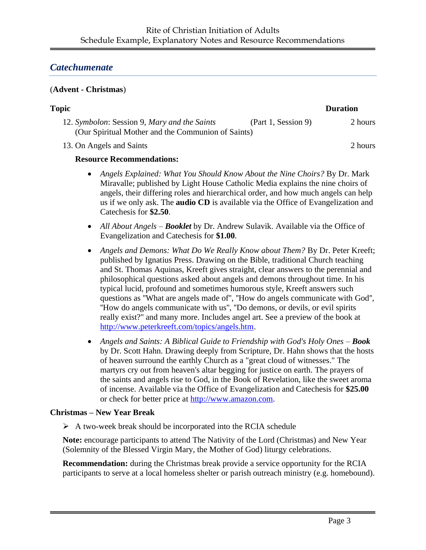## *Catechumenate*

#### (**Advent - Christmas**)

| Topic                                              |                     | <b>Duration</b> |
|----------------------------------------------------|---------------------|-----------------|
| 12. Symbolon: Session 9, Mary and the Saints       | (Part 1, Session 9) | 2 hours         |
| (Our Spiritual Mother and the Communion of Saints) |                     |                 |
| 13. On Angels and Saints                           |                     | 2 hours         |

#### **Resource Recommendations:**

- *Angels Explained: What You Should Know About the Nine Choirs?* By Dr. Mark Miravalle; published by Light House Catholic Media explains the nine choirs of angels, their differing roles and hierarchical order, and how much angels can help us if we only ask. The **audio CD** is available via the Office of Evangelization and Catechesis for **\$2.50**.
- *All About Angels Booklet* by Dr. Andrew Sulavik. Available via the Office of Evangelization and Catechesis for **\$1.00**.
- *Angels and Demons: What Do We Really Know about Them?* By Dr. Peter Kreeft; published by Ignatius Press. Drawing on the Bible, traditional Church teaching and St. Thomas Aquinas, Kreeft gives straight, clear answers to the perennial and philosophical questions asked about angels and demons throughout time. In his typical lucid, profound and sometimes humorous style, Kreeft answers such questions as ''What are angels made of'', ''How do angels communicate with God'', ''How do angels communicate with us'', ''Do demons, or devils, or evil spirits really exist?'' and many more. Includes angel art. See a preview of the book at [http://www.peterkreeft.com/topics/angels.htm.](http://www.peterkreeft.com/topics/angels.htm)
- *Angels and Saints: A Biblical Guide to Friendship with God's Holy Ones – Book* by Dr. Scott Hahn. Drawing deeply from Scripture, Dr. Hahn shows that the hosts of heaven surround the earthly Church as a "great cloud of witnesses." The martyrs cry out from heaven's altar begging for justice on earth. The prayers of the saints and angels rise to God, in the Book of Revelation, like the sweet aroma of incense. Available via the Office of Evangelization and Catechesis for **\$25.00** or check for better price at [http://www.amazon.com.](http://www.amazon.com/)

#### **Christmas – New Year Break**

 $\triangleright$  A two-week break should be incorporated into the RCIA schedule

**Note:** encourage participants to attend The Nativity of the Lord (Christmas) and New Year (Solemnity of the Blessed Virgin Mary, the Mother of God) liturgy celebrations.

**Recommendation:** during the Christmas break provide a service opportunity for the RCIA participants to serve at a local homeless shelter or parish outreach ministry (e.g. homebound).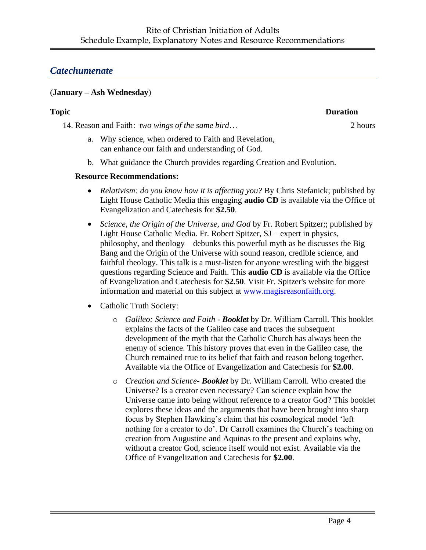# *Catechumenate*

#### (**January – Ash Wednesday**)

14. Reason and Faith: *two wings of the same bird*… 2 hours

- a. Why science, when ordered to Faith and Revelation, can enhance our faith and understanding of God.
- b. What guidance the Church provides regarding Creation and Evolution.

#### **Resource Recommendations:**

- *Relativism: do you know how it is affecting you?* By Chris Stefanick; published by Light House Catholic Media this engaging **audio CD** is available via the Office of Evangelization and Catechesis for **\$2.50**.
- *Science, the Origin of the Universe, and God* by Fr. Robert Spitzer;; published by Light House Catholic Media. Fr. Robert Spitzer, SJ – expert in physics, philosophy, and theology – debunks this powerful myth as he discusses the Big Bang and the Origin of the Universe with sound reason, credible science, and faithful theology. This talk is a must-listen for anyone wrestling with the biggest questions regarding Science and Faith. This **audio CD** is available via the Office of Evangelization and Catechesis for **\$2.50**. Visit Fr. Spitzer's website for more information and material on this subject at [www.magisreasonfaith.org.](http://www.magisreasonfaith.org/)
- Catholic Truth Society:
	- o *Galileo: Science and Faith - Booklet* by Dr. William Carroll. This booklet explains the facts of the Galileo case and traces the subsequent development of the myth that the Catholic Church has always been the enemy of science. This history proves that even in the Galileo case, the Church remained true to its belief that faith and reason belong together. Available via the Office of Evangelization and Catechesis for **\$2.00**.
	- o *Creation and Science- Booklet* by Dr. William Carroll. Who created the Universe? Is a creator even necessary? Can science explain how the Universe came into being without reference to a creator God? This booklet explores these ideas and the arguments that have been brought into sharp focus by Stephen Hawking's claim that his cosmological model 'left nothing for a creator to do'. Dr Carroll examines the Church's teaching on creation from Augustine and Aquinas to the present and explains why, without a creator God, science itself would not exist. Available via the Office of Evangelization and Catechesis for **\$2.00**.

**Topic Duration**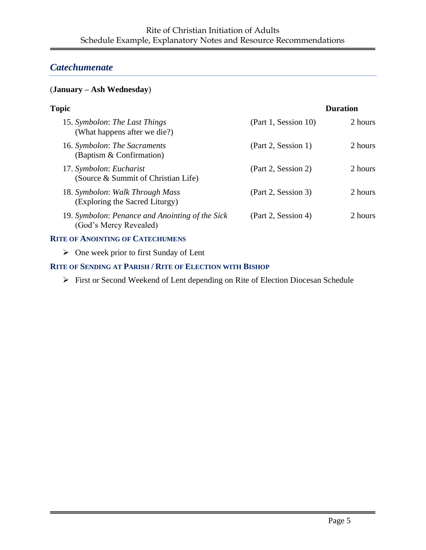# *Catechumenate*

#### (**January – Ash Wednesday**)

|                      | <b>Duration</b> |
|----------------------|-----------------|
| (Part 1, Session 10) | 2 hours         |
| (Part 2, Session 1)  | 2 hours         |
| (Part 2, Session 2)  | 2 hours         |
| (Part 2, Session 3)  | 2 hours         |
| (Part 2, Session 4)  | 2 hours         |
|                      |                 |

#### **RITE OF ANOINTING OF CATECHUMENS**

➢ One week prior to first Sunday of Lent

#### **RITE OF SENDING AT PARISH / RITE OF ELECTION WITH BISHOP**

➢ First or Second Weekend of Lent depending on Rite of Election Diocesan Schedule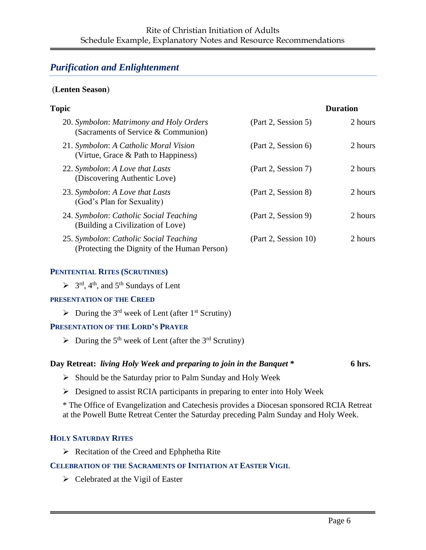# *Purification and Enlightenment*

#### (**Lenten Season**)

| <b>Topic</b>                                                                           |                      | <b>Duration</b> |
|----------------------------------------------------------------------------------------|----------------------|-----------------|
| 20. Symbolon: Matrimony and Holy Orders<br>(Sacraments of Service & Communion)         | (Part 2, Session 5)  | 2 hours         |
| 21. Symbolon: A Catholic Moral Vision<br>(Virtue, Grace & Path to Happiness)           | (Part 2, Session 6)  | 2 hours         |
| 22. Symbolon: A Love that Lasts<br>(Discovering Authentic Love)                        | (Part 2, Session 7)  | 2 hours         |
| 23. Symbolon: A Love that Lasts<br>(God's Plan for Sexuality)                          | (Part 2, Session 8)  | 2 hours         |
| 24. Symbolon: Catholic Social Teaching<br>(Building a Civilization of Love)            | (Part 2, Session 9)  | 2 hours         |
| 25. Symbolon: Catholic Social Teaching<br>(Protecting the Dignity of the Human Person) | (Part 2, Session 10) | 2 hours         |

#### **PENITENTIAL RITES (SCRUTINIES)**

 $\triangleright$  3<sup>rd</sup>, 4<sup>th</sup>, and 5<sup>th</sup> Sundays of Lent

#### **PRESENTATION OF THE CREED**

 $\triangleright$  During the 3<sup>rd</sup> week of Lent (after 1<sup>st</sup> Scrutiny)

#### **PRESENTATION OF THE LORD'S PRAYER**

 $\triangleright$  During the 5<sup>th</sup> week of Lent (after the 3<sup>rd</sup> Scrutiny)

#### **Day Retreat:** *living Holy Week and preparing to join in the Banquet* **\* 6 hrs.**

- ➢ Should be the Saturday prior to Palm Sunday and Holy Week
- ➢ Designed to assist RCIA participants in preparing to enter into Holy Week

\* The Office of Evangelization and Catechesis provides a Diocesan sponsored RCIA Retreat at the Powell Butte Retreat Center the Saturday preceding Palm Sunday and Holy Week.

#### **HOLY SATURDAY RITES**

➢ Recitation of the Creed and Ephphetha Rite

#### **CELEBRATION OF THE SACRAMENTS OF INITIATION AT EASTER VIGIL**

 $\triangleright$  Celebrated at the Vigil of Easter